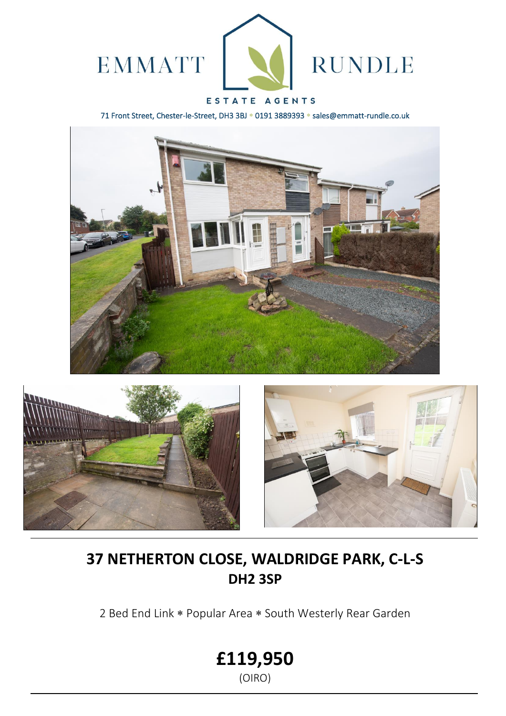

## ESTATE AGENTS

71 Front Street, Chester-le-Street, DH3 3BJ \* 0191 3889393 \* sales@emmatt-rundle.co.uk







# **37 NETHERTON CLOSE, WALDRIDGE PARK, C-L-S DH2 3SP**

2 Bed End Link \* Popular Area \* South Westerly Rear Garden

**£119,950**

(OIRO)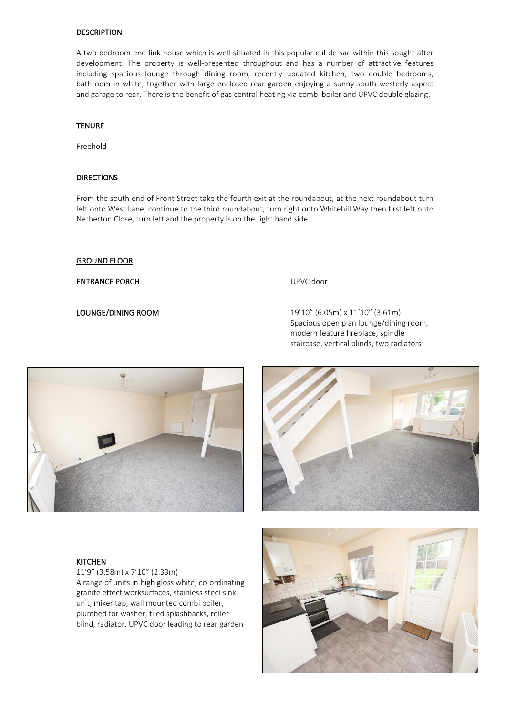### **DESCRIPTION**

A two bedroom end link house which is well-situated in this popular cul-de-sac within this sought after development. The property is well-presented throughout and has a number of attractive features including spacious lounge through dining room, recently updated kitchen, two double bedrooms, bathroom in white, together with large enclosed rear garden enjoying a sunny south westerly aspect and garage to rear. There is the benefit of gas central heating via combi boiler and UPVC double glazing.

### **TENURE**

Freehold

### DIRECTIONS

From the south end of Front Street take the fourth exit at the roundabout, at the next roundabout turn left onto West Lane, continue to the third roundabout, turn right onto Whitehill Way then first left onto Netherton Close, turn left and the property is on the right hand side.

### GROUND FLOOR

ENTRANCE PORCH UPVC door

LOUNGE/DINING ROOM 19'10" (6.05m) x 11'10" (3.61m) Spacious open plan lounge/dining room, modern feature fireplace, spindle staircase, vertical blinds, two radiators



### **KITCHEN**

11'9" (3.58m) x 7'10" (2.39m) A range of units in high gloss white, co-ordinating granite effect worksurfaces, stainless steel sink unit, mixer tap, wall mounted combi boiler, plumbed for washer, tiled splashbacks, roller blind, radiator, UPVC door leading to rear garden



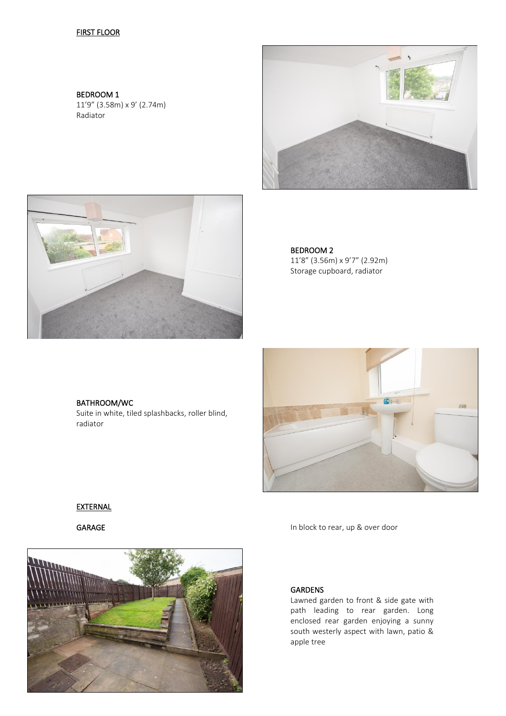### **FIRST FLOOR**

BEDROOM 1 11'9" (3.58m) x 9' (2.74m) Radiator





BEDROOM 2 11'8" (3.56m) x 9'7" (2.92m) Storage cupboard, radiator

# BATHROOM/WC

Suite in white, tiled splashbacks, roller blind, radiator



### **EXTERNAL**



GARAGE In block to rear, up & over door

### GARDENS

Lawned garden to front & side gate with path leading to rear garden. Long enclosed rear garden enjoying a sunny south westerly aspect with lawn, patio & apple tree